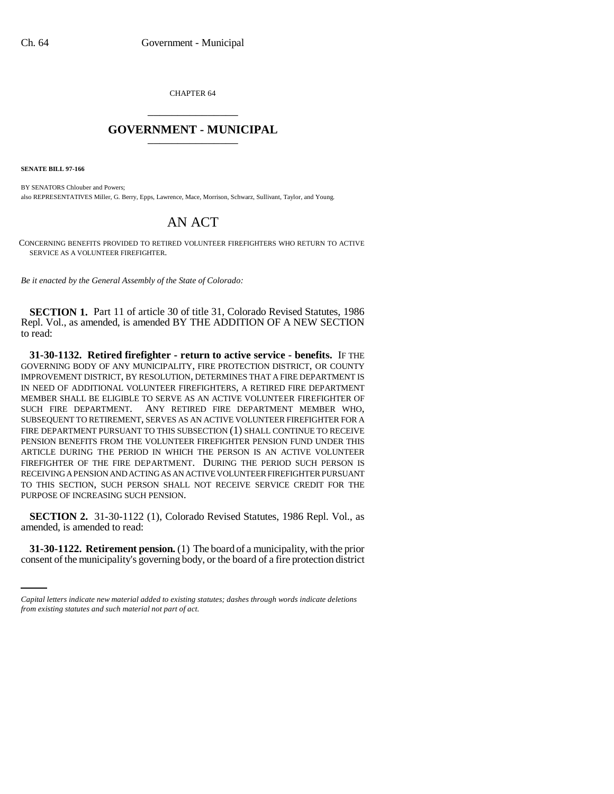CHAPTER 64 \_\_\_\_\_\_\_\_\_\_\_\_\_\_\_

## **GOVERNMENT - MUNICIPAL** \_\_\_\_\_\_\_\_\_\_\_\_\_\_\_

**SENATE BILL 97-166**

BY SENATORS Chlouber and Powers; also REPRESENTATIVES Miller, G. Berry, Epps, Lawrence, Mace, Morrison, Schwarz, Sullivant, Taylor, and Young.

## AN ACT

CONCERNING BENEFITS PROVIDED TO RETIRED VOLUNTEER FIREFIGHTERS WHO RETURN TO ACTIVE SERVICE AS A VOLUNTEER FIREFIGHTER.

*Be it enacted by the General Assembly of the State of Colorado:*

**SECTION 1.** Part 11 of article 30 of title 31, Colorado Revised Statutes, 1986 Repl. Vol., as amended, is amended BY THE ADDITION OF A NEW SECTION to read:

**31-30-1132. Retired firefighter - return to active service - benefits.** IF THE GOVERNING BODY OF ANY MUNICIPALITY, FIRE PROTECTION DISTRICT, OR COUNTY IMPROVEMENT DISTRICT, BY RESOLUTION, DETERMINES THAT A FIRE DEPARTMENT IS IN NEED OF ADDITIONAL VOLUNTEER FIREFIGHTERS, A RETIRED FIRE DEPARTMENT MEMBER SHALL BE ELIGIBLE TO SERVE AS AN ACTIVE VOLUNTEER FIREFIGHTER OF SUCH FIRE DEPARTMENT. ANY RETIRED FIRE DEPARTMENT MEMBER WHO, SUBSEQUENT TO RETIREMENT, SERVES AS AN ACTIVE VOLUNTEER FIREFIGHTER FOR A FIRE DEPARTMENT PURSUANT TO THIS SUBSECTION (1) SHALL CONTINUE TO RECEIVE PENSION BENEFITS FROM THE VOLUNTEER FIREFIGHTER PENSION FUND UNDER THIS ARTICLE DURING THE PERIOD IN WHICH THE PERSON IS AN ACTIVE VOLUNTEER FIREFIGHTER OF THE FIRE DEPARTMENT. DURING THE PERIOD SUCH PERSON IS RECEIVING A PENSION AND ACTING AS AN ACTIVE VOLUNTEER FIREFIGHTER PURSUANT TO THIS SECTION, SUCH PERSON SHALL NOT RECEIVE SERVICE CREDIT FOR THE PURPOSE OF INCREASING SUCH PENSION.

**SECTION 2.** 31-30-1122 (1), Colorado Revised Statutes, 1986 Repl. Vol., as amended, is amended to read:

**31-30-1122. Retirement pension.** (1) The board of a municipality, with the prior consent of the municipality's governing body, or the board of a fire protection district

*Capital letters indicate new material added to existing statutes; dashes through words indicate deletions from existing statutes and such material not part of act.*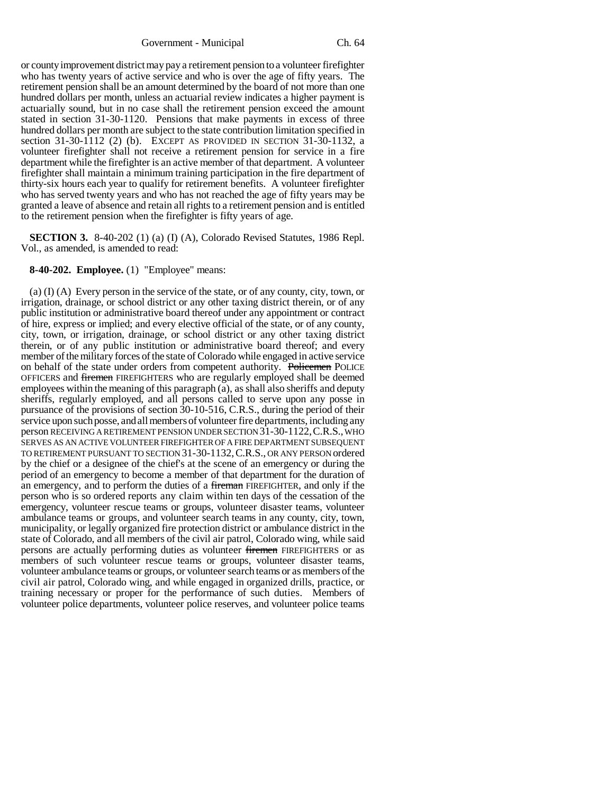Government - Municipal Ch. 64

or county improvement district may pay a retirement pension to a volunteer firefighter who has twenty years of active service and who is over the age of fifty years. The retirement pension shall be an amount determined by the board of not more than one hundred dollars per month, unless an actuarial review indicates a higher payment is actuarially sound, but in no case shall the retirement pension exceed the amount stated in section 31-30-1120. Pensions that make payments in excess of three hundred dollars per month are subject to the state contribution limitation specified in section 31-30-1112 (2) (b). EXCEPT AS PROVIDED IN SECTION 31-30-1132, a volunteer firefighter shall not receive a retirement pension for service in a fire department while the firefighter is an active member of that department. A volunteer firefighter shall maintain a minimum training participation in the fire department of thirty-six hours each year to qualify for retirement benefits. A volunteer firefighter who has served twenty years and who has not reached the age of fifty years may be granted a leave of absence and retain all rights to a retirement pension and is entitled to the retirement pension when the firefighter is fifty years of age.

**SECTION 3.** 8-40-202 (1) (a) (I) (A), Colorado Revised Statutes, 1986 Repl. Vol., as amended, is amended to read:

## **8-40-202. Employee.** (1) "Employee" means:

(a) (I) (A) Every person in the service of the state, or of any county, city, town, or irrigation, drainage, or school district or any other taxing district therein, or of any public institution or administrative board thereof under any appointment or contract of hire, express or implied; and every elective official of the state, or of any county, city, town, or irrigation, drainage, or school district or any other taxing district therein, or of any public institution or administrative board thereof; and every member of the military forces of the state of Colorado while engaged in active service on behalf of the state under orders from competent authority. Policemen POLICE OFFICERS and firemen FIREFIGHTERS who are regularly employed shall be deemed employees within the meaning of this paragraph (a), as shall also sheriffs and deputy sheriffs, regularly employed, and all persons called to serve upon any posse in pursuance of the provisions of section 30-10-516, C.R.S., during the period of their service upon such posse, and all members of volunteer fire departments, including any person RECEIVING A RETIREMENT PENSION UNDER SECTION 31-30-1122,C.R.S., WHO SERVES AS AN ACTIVE VOLUNTEER FIREFIGHTER OF A FIRE DEPARTMENT SUBSEQUENT TO RETIREMENT PURSUANT TO SECTION 31-30-1132,C.R.S., OR ANY PERSON ordered by the chief or a designee of the chief's at the scene of an emergency or during the period of an emergency to become a member of that department for the duration of an emergency, and to perform the duties of a fireman FIREFIGHTER, and only if the person who is so ordered reports any claim within ten days of the cessation of the emergency, volunteer rescue teams or groups, volunteer disaster teams, volunteer ambulance teams or groups, and volunteer search teams in any county, city, town, municipality, or legally organized fire protection district or ambulance district in the state of Colorado, and all members of the civil air patrol, Colorado wing, while said persons are actually performing duties as volunteer firemen FIREFIGHTERS or as members of such volunteer rescue teams or groups, volunteer disaster teams, volunteer ambulance teams or groups, or volunteer search teams or as members of the civil air patrol, Colorado wing, and while engaged in organized drills, practice, or training necessary or proper for the performance of such duties. Members of volunteer police departments, volunteer police reserves, and volunteer police teams